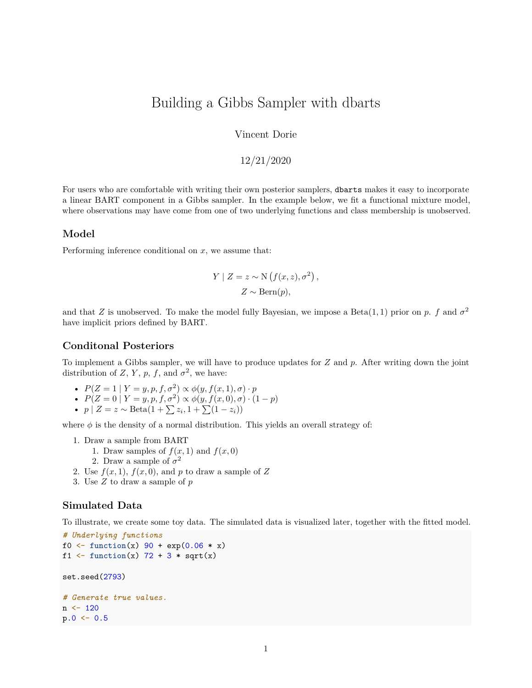# Building a Gibbs Sampler with dbarts

Vincent Dorie

12/21/2020

For users who are comfortable with writing their own posterior samplers, dbarts makes it easy to incorporate a linear BART component in a Gibbs sampler. In the example below, we fit a functional mixture model, where observations may have come from one of two underlying functions and class membership is unobserved.

#### **Model**

Performing inference conditional on *x*, we assume that:

$$
Y \mid Z = z \sim \mathcal{N}\left(f(x, z), \sigma^2\right),
$$
  

$$
Z \sim \text{Bern}(p),
$$

and that *Z* is unobserved. To make the model fully Bayesian, we impose a Beta(1,1) prior on *p*. *f* and  $\sigma^2$ have implicit priors defined by BART.

#### **Conditonal Posteriors**

To implement a Gibbs sampler, we will have to produce updates for *Z* and *p*. After writing down the joint distribution of *Z*, *Y*, *p*, *f*, and  $\sigma^2$ , we have:

- $P(Z = 1 | Y = y, p, f, \sigma^2) \propto \phi(y, f(x, 1), \sigma) \cdot p$
- $P(Z = 0 | Y = y, p, f, \sigma^2) \propto \phi(y, f(x, 0), \sigma) \cdot (1 p)$
- $p \mid Z = z \sim \text{Beta}(1 + \sum z_i, 1 + \sum (1 z_i))$

where  $\phi$  is the density of a normal distribution. This yields an overall strategy of:

- 1. Draw a sample from BART
	- 1. Draw samples of  $f(x, 1)$  and  $f(x, 0)$
	- 2. Draw a sample of  $\sigma^2$
- 2. Use  $f(x, 1)$ ,  $f(x, 0)$ , and p to draw a sample of Z
- 3. Use *Z* to draw a sample of *p*

#### **Simulated Data**

To illustrate, we create some toy data. The simulated data is visualized later, together with the fitted model.

```
# Underlying functions
f0 <- function(x) 90 + exp(0.06 * x)
f1 \leftarrow function(x) 72 + 3 * \sqrt{\text{sqrt}(x)}set.seed(2793)
# Generate true values.
n < -120p.0 \le -0.5
```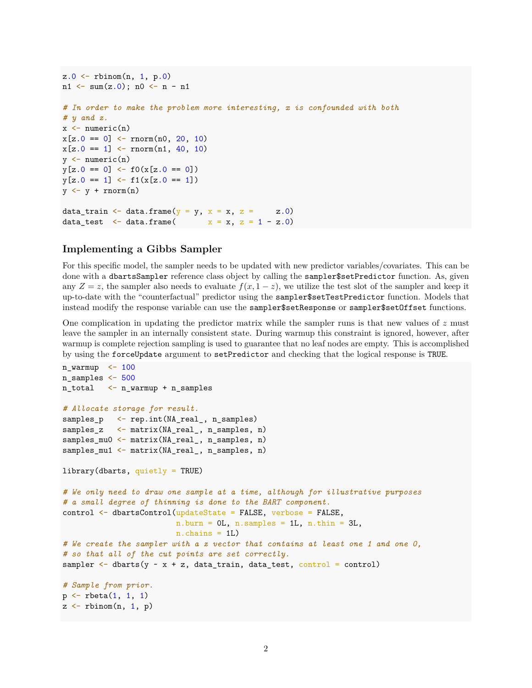```
z.0 \leq rbinom(n, 1, p.0)n1 \leftarrow \text{sum}(z.0); n0 \leftarrow n - n1# In order to make the problem more interesting, x is confounded with both
# y and z.
x \leftarrow numeric(n)
x[z.0 == 0] \leftarrow \text{norm}(n0, 20, 10)x[z.0 == 1] \leftarrow \text{norm}(n1, 40, 10)y \leftarrow numeric(n)
y[z.0 == 0] \leftarrow f0(x[z.0 == 0])y[z.0 == 1] \leftarrow f1(x[z.0 == 1])y \leftarrow y + \text{norm}(n)data_train <- data.frame(y = y, x = x, z = z.0)
data test \leq data.frame( x = x, z = 1 - z.0)
```
#### **Implementing a Gibbs Sampler**

For this specific model, the sampler needs to be updated with new predictor variables/covariates. This can be done with a dbartsSampler reference class object by calling the sampler\$setPredictor function. As, given any  $Z = z$ , the sampler also needs to evaluate  $f(x, 1-z)$ , we utilize the test slot of the sampler and keep it up-to-date with the "counterfactual" predictor using the sampler\$setTestPredictor function. Models that instead modify the response variable can use the sampler\$setResponse or sampler\$setOffset functions.

One complication in updating the predictor matrix while the sampler runs is that new values of *z* must leave the sampler in an internally consistent state. During warmup this constraint is ignored, however, after warmup is complete rejection sampling is used to guarantee that no leaf nodes are empty. This is accomplished by using the forceUpdate argument to setPredictor and checking that the logical response is TRUE.

```
n_warmup < - 100
n_samples <- 500
n_total <- n_warmup + n_samples
# Allocate storage for result.
samples_p <- rep.int(NA_real_, n_samples)
samples_z <- matrix(NA_real_, n_samples, n)
samples_mu0 <- matrix(NA_real_, n_samples, n)
samples_mu1 <- matrix(NA_real_, n_samples, n)
library(dbarts, quietly = TRUE)
# We only need to draw one sample at a time, although for illustrative purposes
# a small degree of thinning is done to the BART component.
control <- dbartsControl(updateState = FALSE, verbose = FALSE,
                         n.burn = 0L, n.samples = 1L, n.thin = 3L,
                         n.chains = 1L)
# We create the sampler with a z vector that contains at least one 1 and one 0,
# so that all of the cut points are set correctly.
sampler \leftarrow dbarts(y \sim x + z, data_train, data_test, control = control)
# Sample from prior.
p \leftarrow rbeta(1, 1, 1)z \leftarrow rbinom(n, 1, p)
```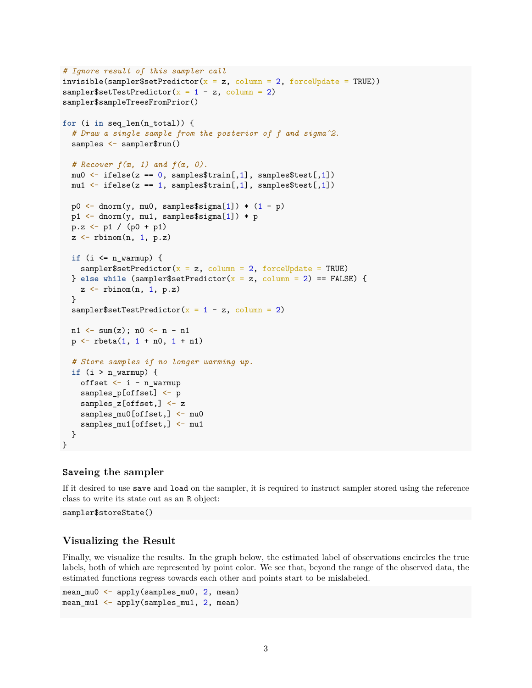```
# Ignore result of this sampler call
invisible(sampler$setPredictor(x = z, column = 2, forceUpdate = TRUE))
sampler$setTestPredictor(x = 1 - z, column = 2)
sampler$sampleTreesFromPrior()
for (i in seq_len(n_total)) {
  # Draw a single sample from the posterior of f and sigmaˆ2.
  samples <- sampler$run()
  # Recover f(x, 1) and f(x, 0).
  mu0 \leftarrow ifelse(z == 0, samples$train[,1], samples$test[,1])
  mu1 \leftarrow ifelse(z == 1, samples$train[, 1], samples$test[, 1])p0 \leftarrow dnorm(y, mu0, samples$sigma[1]) * (1 - p)p1 <- dnorm(y, mu1, samples$sigma[1]) * p
  p.z \leq p1 / (p0 + p1)z <- rbinom(n, 1, p.z)
  if (i <= n_warmup) {
    sampler$setPredictor(x = z, column = 2, forceUpdate = TRUE)
  } else while (sampler$setPredictor(x = z, column = 2) == FALSE) {
    z \leftarrow rbinom(n, 1, p.z)}
  sampler$setTestPredictor(x = 1 - z, column = 2)
  n1 \leftarrow \text{sum}(z); n0 \leftarrow n - n1p \leftarrow rbeta(1, 1 + n0, 1 + n1)# Store samples if no longer warming up.
  if (i > n_warmup) {
    offset \leftarrow i - n_warmup
    samples_p[offset] <- p
    samples z[offset, ] \leftarrow zsamples_mu0[offset,] <- mu0
    samples_mu1[offset,] <- mu1
  }
}
```
#### **Saveing the sampler**

If it desired to use save and load on the sampler, it is required to instruct sampler stored using the reference class to write its state out as an R object:

sampler\$storeState()

#### **Visualizing the Result**

Finally, we visualize the results. In the graph below, the estimated label of observations encircles the true labels, both of which are represented by point color. We see that, beyond the range of the observed data, the estimated functions regress towards each other and points start to be mislabeled.

```
mean_mu0 <- apply(samples_mu0, 2, mean)
mean_mu1 <- apply(samples_mu1, 2, mean)
```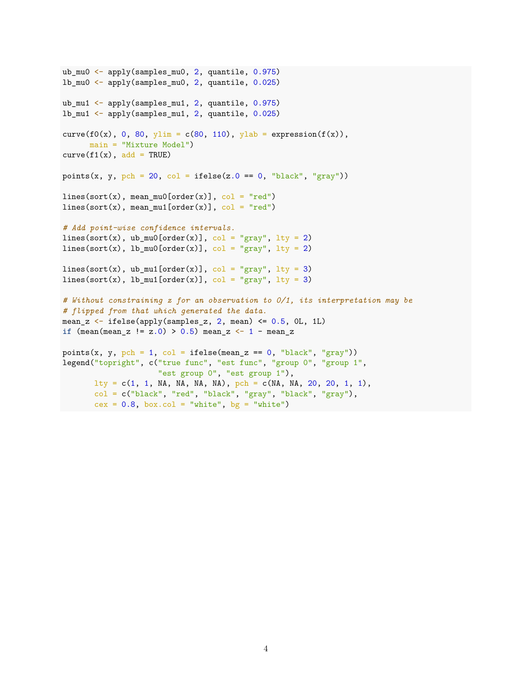```
ub_mu0 <- apply(samples_mu0, 2, quantile, 0.975)
lb_mu0 <- apply(samples_mu0, 2, quantile, 0.025)
ub mu1 \leftarrow apply(samples mu1, 2, quantile, 0.975)
lb_mu1 <- apply(samples_mu1, 2, quantile, 0.025)
curve(f0(x), 0, 80, ylim = c(80, 110), ylab = expression(f(x)),
      main = "Mixture Model")
curve(f1(x), add = TRUE)points(x, y, pch = 20, col = ifelse(z.0 = 0, "black", "gray"))
lines(sort(x), mean mu0[order(x)], col = "red")
lines(sort(x), mean\_mul[order(x)], col = "red")# Add point-wise confidence intervals.
lines(sort(x), ub_mu0[order(x)], col = "gray", lty = 2)
lines(sort(x), lb_mu0[order(x)], col = "gray", lty = 2)lines(sort(x), ub_mu1[order(x)], col = "gray", lty = 3)
lines(sort(x), lb_mu1[order(x)], col = "gray", lty = 3)
# Without constraining z for an observation to 0/1, its interpretation may be
# flipped from that which generated the data.
mean_z \leftarrow ifelse(apply(samples_z, 2, mean) \leftarrow 0.5, 0L, 1L)
if (\text{mean} - z \mid z.0) > 0.5) \text{ mean}_z < -1 - \text{mean}_zpoints(x, y, pch = 1, col = ifelse(mean_z == 0, "black", "gray"))legend("topright", c("true func", "est func", "group 0", "group 1",
                     "est group 0", "est group 1"),
       lty = c(1, 1, NA, NA, NA, NA), pch = c(MA, NA, 20, 20, 1, 1),col = c("black", "red", "black", "gray", "black", "gray"),
       cex = 0.8, box.col = "white", bg = "white")
```